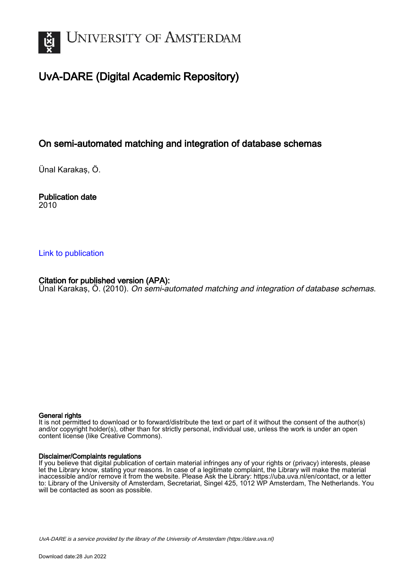

# UvA-DARE (Digital Academic Repository)

# On semi-automated matching and integration of database schemas

Ünal Karakaş, Ö.

Publication date 2010

# [Link to publication](https://dare.uva.nl/personal/pure/en/publications/on-semiautomated-matching-and-integration-of-database-schemas(3051bbf3-e927-432b-a13a-5ba06225729f).html)

# Citation for published version (APA):

Ünal Karakaş, Ö. (2010). On semi-automated matching and integration of database schemas.

## General rights

It is not permitted to download or to forward/distribute the text or part of it without the consent of the author(s) and/or copyright holder(s), other than for strictly personal, individual use, unless the work is under an open content license (like Creative Commons).

# Disclaimer/Complaints regulations

If you believe that digital publication of certain material infringes any of your rights or (privacy) interests, please let the Library know, stating your reasons. In case of a legitimate complaint, the Library will make the material inaccessible and/or remove it from the website. Please Ask the Library: https://uba.uva.nl/en/contact, or a letter to: Library of the University of Amsterdam, Secretariat, Singel 425, 1012 WP Amsterdam, The Netherlands. You will be contacted as soon as possible.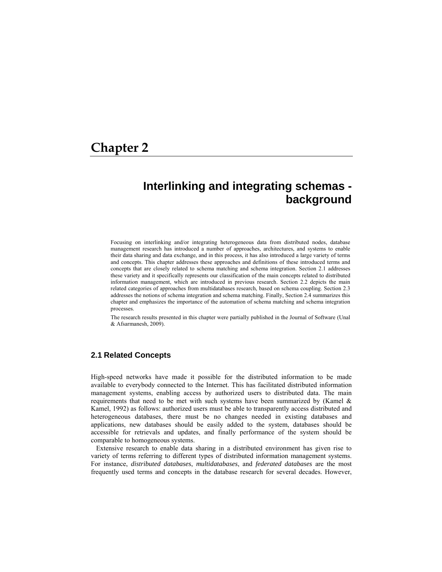# **Chapter 2**

# **Interlinking and integrating schemas background**

Focusing on interlinking and/or integrating heterogeneous data from distributed nodes, database management research has introduced a number of approaches, architectures, and systems to enable their data sharing and data exchange, and in this process, it has also introduced a large variety of terms and concepts. This chapter addresses these approaches and definitions of these introduced terms and concepts that are closely related to schema matching and schema integration. Section 2.1 addresses these variety and it specifically represents our classification of the main concepts related to distributed information management, which are introduced in previous research. Section 2.2 depicts the main related categories of approaches from multidatabases research, based on schema coupling. Section 2.3 addresses the notions of schema integration and schema matching. Finally, Section 2.4 summarizes this chapter and emphasizes the importance of the automation of schema matching and schema integration processes.

The research results presented in this chapter were partially published in the Journal of Software (Unal & Afsarmanesh, 2009).

# **2.1 Related Concepts**

High-speed networks have made it possible for the distributed information to be made available to everybody connected to the Internet. This has facilitated distributed information management systems, enabling access by authorized users to distributed data. The main requirements that need to be met with such systems have been summarized by (Kamel  $\&$ Kamel, 1992) as follows: authorized users must be able to transparently access distributed and heterogeneous databases, there must be no changes needed in existing databases and applications, new databases should be easily added to the system, databases should be accessible for retrievals and updates, and finally performance of the system should be comparable to homogeneous systems.

Extensive research to enable data sharing in a distributed environment has given rise to variety of terms referring to different types of distributed information management systems. For instance, *distributed databases*, *multidatabases*, and *federated databases* are the most frequently used terms and concepts in the database research for several decades. However,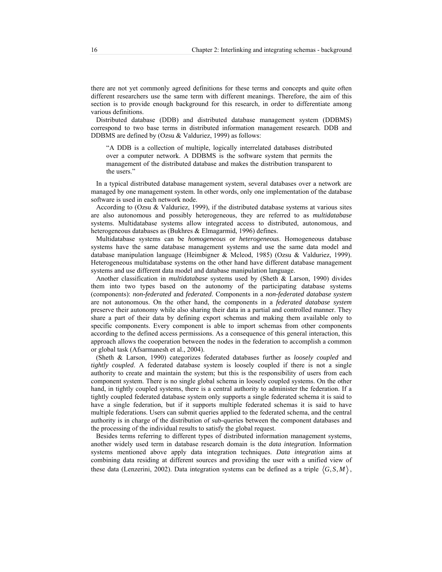there are not yet commonly agreed definitions for these terms and concepts and quite often different researchers use the same term with different meanings. Therefore, the aim of this section is to provide enough background for this research, in order to differentiate among various definitions.

Distributed database (DDB) and distributed database management system (DDBMS) correspond to two base terms in distributed information management research. DDB and DDBMS are defined by (Ozsu & Valduriez, 1999) as follows:

"A DDB is a collection of multiple, logically interrelated databases distributed over a computer network. A DDBMS is the software system that permits the management of the distributed database and makes the distribution transparent to the users."

In a typical distributed database management system, several databases over a network are managed by one management system. In other words, only one implementation of the database software is used in each network node.

According to (Ozsu & Valduriez, 1999), if the distributed database systems at various sites are also autonomous and possibly heterogeneous, they are referred to as *multidatabase* systems. Multidatabase systems allow integrated access to distributed, autonomous, and heterogeneous databases as (Bukhres & Elmagarmid, 1996) defines.

Multidatabase systems can be *homogeneous* or *heterogeneous*. Homogeneous database systems have the same database management systems and use the same data model and database manipulation language (Heimbigner & Mcleod, 1985) (Ozsu & Valduriez, 1999). Heterogeneous multidatabase systems on the other hand have different database management systems and use different data model and database manipulation language.

Another classification in *multidatabase* systems used by (Sheth & Larson, 1990) divides them into two types based on the autonomy of the participating database systems (components): *non-federated* and *federated*. Components in a *non-federated database system* are not autonomous. On the other hand, the components in a *federated database system* preserve their autonomy while also sharing their data in a partial and controlled manner. They share a part of their data by defining export schemas and making them available only to specific components. Every component is able to import schemas from other components according to the defined access permissions. As a consequence of this general interaction, this approach allows the cooperation between the nodes in the federation to accomplish a common or global task (Afsarmanesh et al., 2004).

(Sheth & Larson, 1990) categorizes federated databases further as *loosely coupled* and *tightly coupled*. A federated database system is loosely coupled if there is not a single authority to create and maintain the system; but this is the responsibility of users from each component system. There is no single global schema in loosely coupled systems. On the other hand, in tightly coupled systems, there is a central authority to administer the federation. If a tightly coupled federated database system only supports a single federated schema it is said to have a single federation, but if it supports multiple federated schemas it is said to have multiple federations. Users can submit queries applied to the federated schema, and the central authority is in charge of the distribution of sub-queries between the component databases and the processing of the individual results to satisfy the global request.

Besides terms referring to different types of distributed information management systems, another widely used term in database research domain is the *data integration.* Information systems mentioned above apply data integration techniques. *Data integration* aims at combining data residing at different sources and providing the user with a unified view of these data (Lenzerini, 2002). Data integration systems can be defined as a triple  $\langle G, S, M \rangle$ ,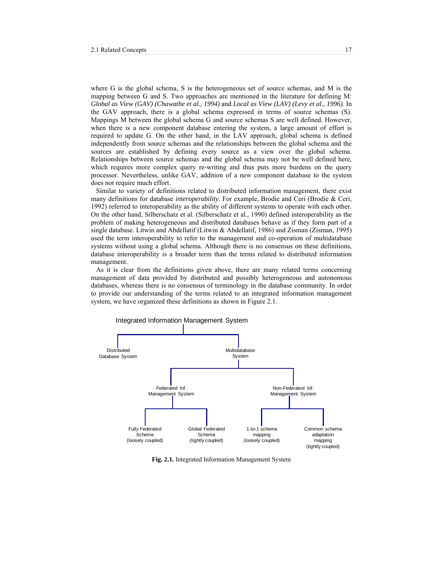where G is the global schema, S is the heterogeneous set of source schemas, and M is the mapping between G and S. Two approaches are mentioned in the literature for defining M: *Global as View (GAV) (Chawathe et al., 1994)* and *Local as View (LAV) (Levy et al., 1996)*. In the GAV approach, there is a global schema expressed in terms of source schemas (S). Mappings M between the global schema G and source schemas S are well defined. However, when there is a new component database entering the system, a large amount of effort is required to update G. On the other hand, in the LAV approach, global schema is defined independently from source schemas and the relationships between the global schema and the sources are established by defining every source as a view over the global schema. Relationships between source schemas and the global schema may not be well defined here, which requires more complex query re-writing and thus puts more burdens on the query processor. Nevertheless, unlike GAV, addition of a new component database to the system does not require much effort.

Similar to variety of definitions related to distributed information management, there exist many definitions for database *interoperability*. For example, Brodie and Ceri (Brodie & Ceri, 1992) referred to interoperability as the ability of different systems to operate with each other. On the other hand, Silberschatz et al. (Silberschatz et al., 1990) defined interoperability as the problem of making heterogeneous and distributed databases behave as if they form part of a single database. Litwin and Abdellatif (Litwin & Abdellatif, 1986) and Zisman (Zisman, 1995) used the term interoperability to refer to the management and co-operation of multidatabase systems without using a global schema. Although there is no consensus on these definitions, database interoperability is a broader term than the terms related to distributed information management.

As it is clear from the definitions given above, there are many related terms concerning management of data provided by distributed and possibly heterogeneous and autonomous databases, whereas there is no consensus of terminology in the database community. In order to provide our understanding of the terms related to an integrated information management system, we have organized these definitions as shown in Figure 2.1.



**Fig. 2.1.** Integrated Information Management System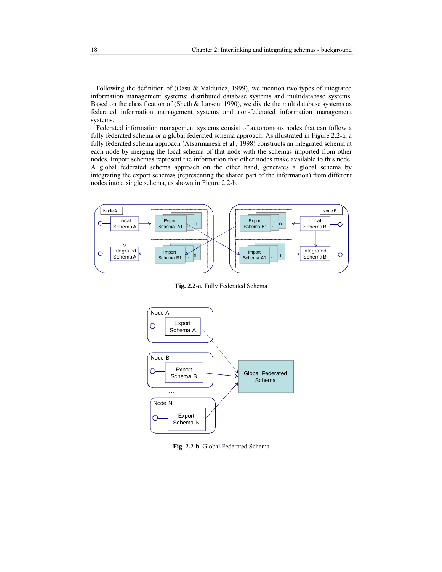Following the definition of (Ozsu & Valduriez, 1999), we mention two types of integrated information management systems: distributed database systems and multidatabase systems. Based on the classification of (Sheth & Larson, 1990), we divide the multidatabase systems as federated information management systems and non-federated information management systems.

Federated information management systems consist of autonomous nodes that can follow a fully federated schema or a global federated schema approach. As illustrated in Figure 2.2-a, a fully federated schema approach (Afsarmanesh et al., 1998) constructs an integrated schema at each node by merging the local schema of that node with the schemas imported from other nodes. Import schemas represent the information that other nodes make available to this node. A global federated schema approach on the other hand, generates a global schema by integrating the export schemas (representing the shared part of the information) from different nodes into a single schema, as shown in Figure 2.2-b.



**Fig. 2.2-a.** Fully Federated Schema



**Fig. 2.2-b.** Global Federated Schema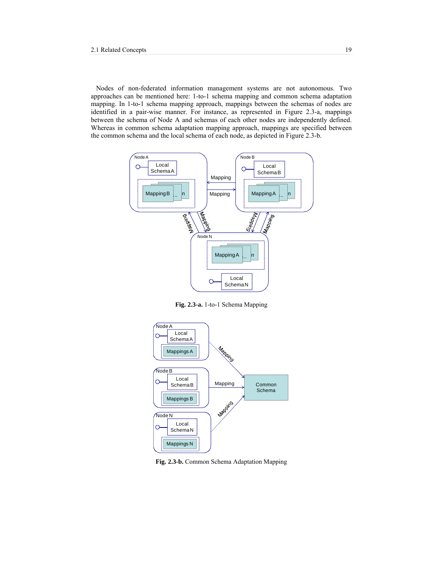Nodes of non-federated information management systems are not autonomous. Two approaches can be mentioned here: 1-to-1 schema mapping and common schema adaptation mapping. In 1-to-1 schema mapping approach, mappings between the schemas of nodes are identified in a pair-wise manner. For instance, as represented in Figure 2.3-a, mappings between the schema of Node A and schemas of each other nodes are independently defined. Whereas in common schema adaptation mapping approach, mappings are specified between the common schema and the local schema of each node, as depicted in Figure 2.3-b.



**Fig. 2.3-a.** 1-to-1 Schema Mapping



**Fig. 2.3-b.** Common Schema Adaptation Mapping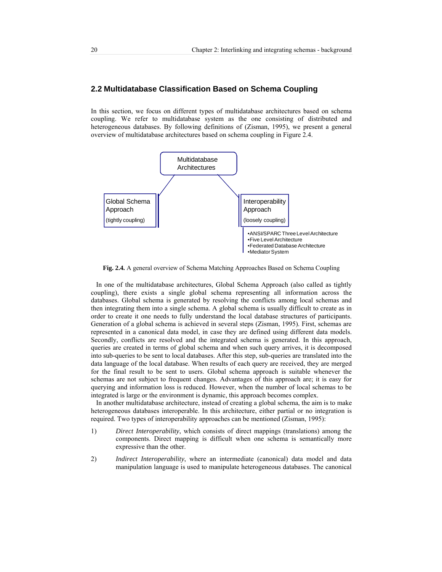# **2.2 Multidatabase Classification Based on Schema Coupling**

In this section, we focus on different types of multidatabase architectures based on schema coupling. We refer to multidatabase system as the one consisting of distributed and heterogeneous databases. By following definitions of (Zisman, 1995), we present a general overview of multidatabase architectures based on schema coupling in Figure 2.4.



**Fig. 2.4.** A general overview of Schema Matching Approaches Based on Schema Coupling

In one of the multidatabase architectures, Global Schema Approach (also called as tightly coupling), there exists a single global schema representing all information across the databases. Global schema is generated by resolving the conflicts among local schemas and then integrating them into a single schema. A global schema is usually difficult to create as in order to create it one needs to fully understand the local database structures of participants. Generation of a global schema is achieved in several steps (Zisman, 1995). First, schemas are represented in a canonical data model, in case they are defined using different data models. Secondly, conflicts are resolved and the integrated schema is generated. In this approach, queries are created in terms of global schema and when such query arrives, it is decomposed into sub-queries to be sent to local databases. After this step, sub-queries are translated into the data language of the local database. When results of each query are received, they are merged for the final result to be sent to users. Global schema approach is suitable whenever the schemas are not subject to frequent changes. Advantages of this approach are; it is easy for querying and information loss is reduced. However, when the number of local schemas to be integrated is large or the environment is dynamic, this approach becomes complex.

In another multidatabase architecture, instead of creating a global schema, the aim is to make heterogeneous databases interoperable. In this architecture, either partial or no integration is required. Two types of interoperability approaches can be mentioned (Zisman, 1995):

- 1) *Direct Interoperability*, which consists of direct mappings (translations) among the components. Direct mapping is difficult when one schema is semantically more expressive than the other.
- 2) *Indirect Interoperability*, where an intermediate (canonical) data model and data manipulation language is used to manipulate heterogeneous databases. The canonical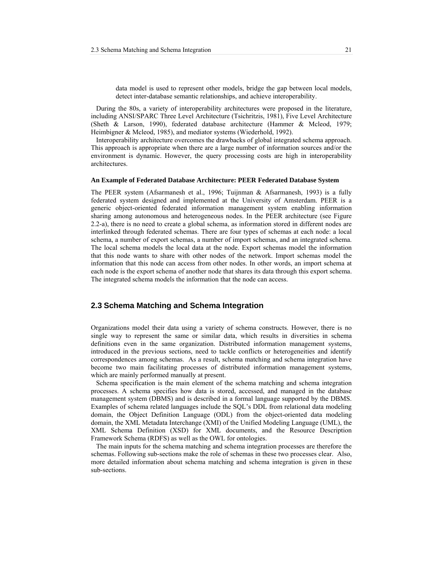data model is used to represent other models, bridge the gap between local models, detect inter-database semantic relationships, and achieve interoperability.

During the 80s, a variety of interoperability architectures were proposed in the literature, including ANSI/SPARC Three Level Architecture (Tsichritzis, 1981), Five Level Architecture (Sheth & Larson, 1990), federated database architecture (Hammer & Mcleod, 1979; Heimbigner & Mcleod, 1985), and mediator systems (Wiederhold, 1992).

Interoperability architecture overcomes the drawbacks of global integrated schema approach. This approach is appropriate when there are a large number of information sources and/or the environment is dynamic. However, the query processing costs are high in interoperability architectures.

#### **An Example of Federated Database Architecture: PEER Federated Database System**

The PEER system (Afsarmanesh et al., 1996; Tuijnman & Afsarmanesh, 1993) is a fully federated system designed and implemented at the University of Amsterdam. PEER is a generic object-oriented federated information management system enabling information sharing among autonomous and heterogeneous nodes. In the PEER architecture (see Figure 2.2-a), there is no need to create a global schema, as information stored in different nodes are interlinked through federated schemas. There are four types of schemas at each node: a local schema, a number of export schemas, a number of import schemas, and an integrated schema. The local schema models the local data at the node. Export schemas model the information that this node wants to share with other nodes of the network. Import schemas model the information that this node can access from other nodes. In other words, an import schema at each node is the export schema of another node that shares its data through this export schema. The integrated schema models the information that the node can access.

## **2.3 Schema Matching and Schema Integration**

Organizations model their data using a variety of schema constructs. However, there is no single way to represent the same or similar data, which results in diversities in schema definitions even in the same organization. Distributed information management systems, introduced in the previous sections, need to tackle conflicts or heterogeneities and identify correspondences among schemas. As a result, schema matching and schema integration have become two main facilitating processes of distributed information management systems, which are mainly performed manually at present.

Schema specification is the main element of the schema matching and schema integration processes. A schema specifies how data is stored, accessed, and managed in the database management system (DBMS) and is described in a formal language supported by the DBMS. Examples of schema related languages include the SQL's DDL from relational data modeling domain, the Object Definition Language (ODL) from the object-oriented data modeling domain, the XML Metadata Interchange (XMI) of the Unified Modeling Language (UML), the XML Schema Definition (XSD) for XML documents, and the Resource Description Framework Schema (RDFS) as well as the OWL for ontologies.

The main inputs for the schema matching and schema integration processes are therefore the schemas. Following sub-sections make the role of schemas in these two processes clear. Also, more detailed information about schema matching and schema integration is given in these sub-sections.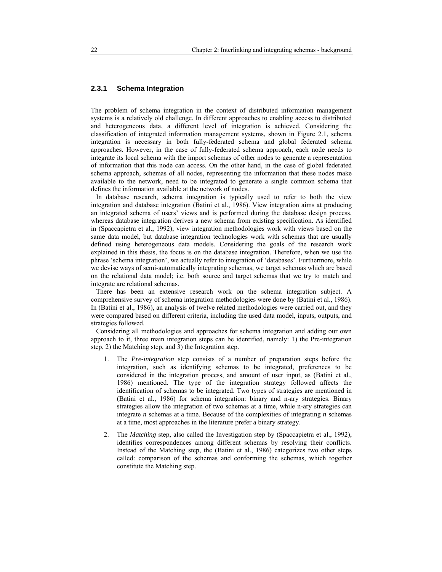### **2.3.1 Schema Integration**

The problem of schema integration in the context of distributed information management systems is a relatively old challenge. In different approaches to enabling access to distributed and heterogeneous data, a different level of integration is achieved. Considering the classification of integrated information management systems, shown in Figure 2.1, schema integration is necessary in both fully-federated schema and global federated schema approaches. However, in the case of fully-federated schema approach, each node needs to integrate its local schema with the import schemas of other nodes to generate a representation of information that this node can access. On the other hand, in the case of global federated schema approach, schemas of all nodes, representing the information that these nodes make available to the network, need to be integrated to generate a single common schema that defines the information available at the network of nodes.

In database research, schema integration is typically used to refer to both the view integration and database integration (Batini et al., 1986). View integration aims at producing an integrated schema of users' views and is performed during the database design process, whereas database integration derives a new schema from existing specification. As identified in (Spaccapietra et al., 1992), view integration methodologies work with views based on the same data model, but database integration technologies work with schemas that are usually defined using heterogeneous data models. Considering the goals of the research work explained in this thesis, the focus is on the database integration. Therefore, when we use the phrase 'schema integration', we actually refer to integration of 'databases'. Furthermore, while we devise ways of semi-automatically integrating schemas, we target schemas which are based on the relational data model; i.e. both source and target schemas that we try to match and integrate are relational schemas.

There has been an extensive research work on the schema integration subject. A comprehensive survey of schema integration methodologies were done by (Batini et al., 1986). In (Batini et al., 1986), an analysis of twelve related methodologies were carried out, and they were compared based on different criteria, including the used data model, inputs, outputs, and strategies followed.

Considering all methodologies and approaches for schema integration and adding our own approach to it, three main integration steps can be identified, namely: 1) the Pre-integration step, 2) the Matching step, and 3) the Integration step.

- 1. The *Pre-integration* step consists of a number of preparation steps before the integration, such as identifying schemas to be integrated, preferences to be considered in the integration process, and amount of user input, as (Batini et al., 1986) mentioned. The type of the integration strategy followed affects the identification of schemas to be integrated. Two types of strategies are mentioned in (Batini et al., 1986) for schema integration: binary and n-ary strategies. Binary strategies allow the integration of two schemas at a time, while n-ary strategies can integrate *n* schemas at a time. Because of the complexities of integrating *n* schemas at a time, most approaches in the literature prefer a binary strategy.
- 2. The *Matching* step, also called the Investigation step by (Spaccapietra et al., 1992), identifies correspondences among different schemas by resolving their conflicts. Instead of the Matching step, the (Batini et al., 1986) categorizes two other steps called: comparison of the schemas and conforming the schemas, which together constitute the Matching step.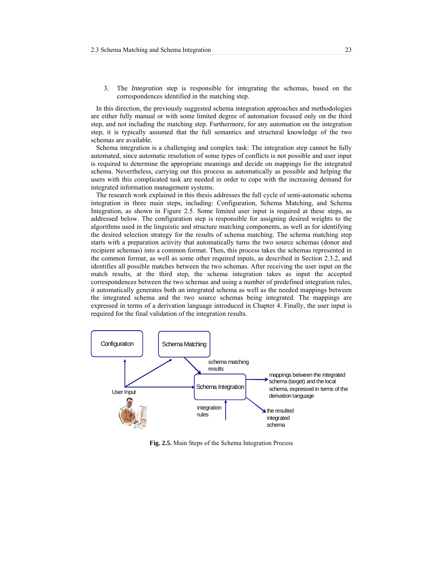3. The *Integration* step is responsible for integrating the schemas, based on the correspondences identified in the matching step.

In this direction, the previously suggested schema integration approaches and methodologies are either fully manual or with some limited degree of automation focused only on the third step, and not including the matching step. Furthermore, for any automation on the integration step, it is typically assumed that the full semantics and structural knowledge of the two schemas are available.

Schema integration is a challenging and complex task: The integration step cannot be fully automated, since automatic resolution of some types of conflicts is not possible and user input is required to determine the appropriate meanings and decide on mappings for the integrated schema. Nevertheless, carrying out this process as automatically as possible and helping the users with this complicated task are needed in order to cope with the increasing demand for integrated information management systems.

The research work explained in this thesis addresses the full cycle of semi-automatic schema integration in three main steps, including: Configuration, Schema Matching, and Schema Integration, as shown in Figure 2.5. Some limited user input is required at these steps, as addressed below. The configuration step is responsible for assigning desired weights to the algorithms used in the linguistic and structure matching components, as well as for identifying the desired selection strategy for the results of schema matching. The schema matching step starts with a preparation activity that automatically turns the two source schemas (donor and recipient schemas) into a common format. Then, this process takes the schemas represented in the common format, as well as some other required inputs, as described in Section 2.3.2, and identifies all possible matches between the two schemas. After receiving the user input on the match results, at the third step, the schema integration takes as input the accepted correspondences between the two schemas and using a number of predefined integration rules, it automatically generates both an integrated schema as well as the needed mappings between the integrated schema and the two source schemas being integrated. The mappings are expressed in terms of a derivation language introduced in Chapter 4. Finally, the user input is required for the final validation of the integration results.



**Fig. 2.5.** Main Steps of the Schema Integration Process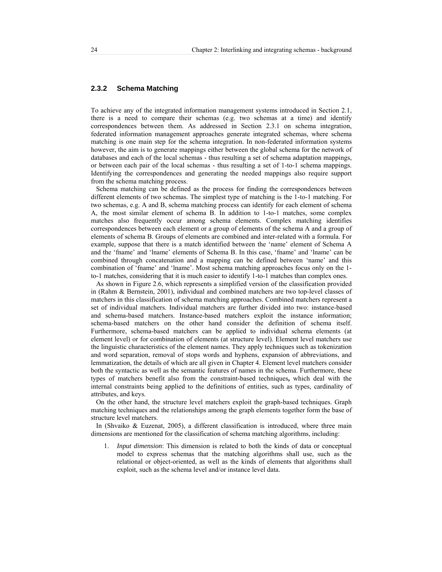## **2.3.2 Schema Matching**

To achieve any of the integrated information management systems introduced in Section 2.1, there is a need to compare their schemas (e.g. two schemas at a time) and identify correspondences between them. As addressed in Section 2.3.1 on schema integration, federated information management approaches generate integrated schemas, where schema matching is one main step for the schema integration. In non-federated information systems however, the aim is to generate mappings either between the global schema for the network of databases and each of the local schemas - thus resulting a set of schema adaptation mappings, or between each pair of the local schemas - thus resulting a set of 1-to-1 schema mappings. Identifying the correspondences and generating the needed mappings also require support from the schema matching process.

Schema matching can be defined as the process for finding the correspondences between different elements of two schemas. The simplest type of matching is the 1-to-1 matching. For two schemas, e.g. A and B, schema matching process can identify for each element of schema A, the most similar element of schema B. In addition to 1-to-1 matches, some complex matches also frequently occur among schema elements. Complex matching identifies correspondences between each element or a group of elements of the schema A and a group of elements of schema B. Groups of elements are combined and inter-related with a formula. For example, suppose that there is a match identified between the 'name' element of Schema A and the 'fname' and 'lname' elements of Schema B. In this case, 'fname' and 'lname' can be combined through concatenation and a mapping can be defined between 'name' and this combination of 'fname' and 'lname'. Most schema matching approaches focus only on the 1 to-1 matches, considering that it is much easier to identify 1-to-1 matches than complex ones.

As shown in Figure 2.6, which represents a simplified version of the classification provided in (Rahm & Bernstein, 2001), individual and combined matchers are two top-level classes of matchers in this classification of schema matching approaches. Combined matchers represent a set of individual matchers. Individual matchers are further divided into two: instance-based and schema-based matchers. Instance-based matchers exploit the instance information; schema-based matchers on the other hand consider the definition of schema itself. Furthermore, schema-based matchers can be applied to individual schema elements (at element level) or for combination of elements (at structure level). Element level matchers use the linguistic characteristics of the element names. They apply techniques such as tokenization and word separation, removal of stops words and hyphens, expansion of abbreviations, and lemmatization, the details of which are all given in Chapter 4. Element level matchers consider both the syntactic as well as the semantic features of names in the schema. Furthermore, these types of matchers benefit also from the constraint-based techniques**,** which deal with the internal constraints being applied to the definitions of entities, such as types, cardinality of attributes, and keys.

On the other hand, the structure level matchers exploit the graph-based techniques. Graph matching techniques and the relationships among the graph elements together form the base of structure level matchers.<br>In (Shvaiko & Euzenat, 2005), a different classification is introduced, where three main

dimensions are mentioned for the classification of schema matching algorithms, including:

*Input dimension*: This dimension is related to both the kinds of data or conceptual model to express schemas that the matching algorithms shall use, such as the relational or object-oriented, as well as the kinds of elements that algorithms shall exploit, such as the schema level and/or instance level data.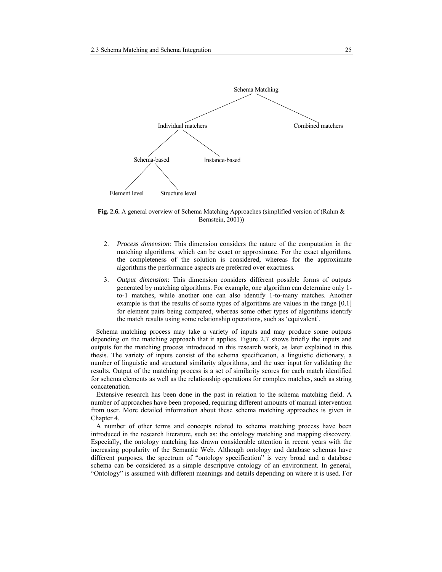

**Fig. 2.6.** A general overview of Schema Matching Approaches (simplified version of (Rahm & Bernstein, 2001))

- 2. *Process dimension*: This dimension considers the nature of the computation in the matching algorithms, which can be exact or approximate. For the exact algorithms, the completeness of the solution is considered, whereas for the approximate algorithms the performance aspects are preferred over exactness.
- 3. *Output dimension*: This dimension considers different possible forms of outputs generated by matching algorithms. For example, one algorithm can determine only 1 to-1 matches, while another one can also identify 1-to-many matches. Another example is that the results of some types of algorithms are values in the range [0,1] for element pairs being compared, whereas some other types of algorithms identify the match results using some relationship operations, such as 'equivalent'.

Schema matching process may take a variety of inputs and may produce some outputs depending on the matching approach that it applies. Figure 2.7 shows briefly the inputs and outputs for the matching process introduced in this research work, as later explained in this thesis. The variety of inputs consist of the schema specification, a linguistic dictionary, a number of linguistic and structural similarity algorithms, and the user input for validating the results. Output of the matching process is a set of similarity scores for each match identified for schema elements as well as the relationship operations for complex matches, such as string concatenation.

Extensive research has been done in the past in relation to the schema matching field. A number of approaches have been proposed, requiring different amounts of manual intervention from user. More detailed information about these schema matching approaches is given in Chapter 4.

A number of other terms and concepts related to schema matching process have been introduced in the research literature, such as: the ontology matching and mapping discovery. Especially, the ontology matching has drawn considerable attention in recent years with the increasing popularity of the Semantic Web. Although ontology and database schemas have different purposes, the spectrum of "ontology specification" is very broad and a database schema can be considered as a simple descriptive ontology of an environment. In general, "Ontology" is assumed with different meanings and details depending on where it is used. For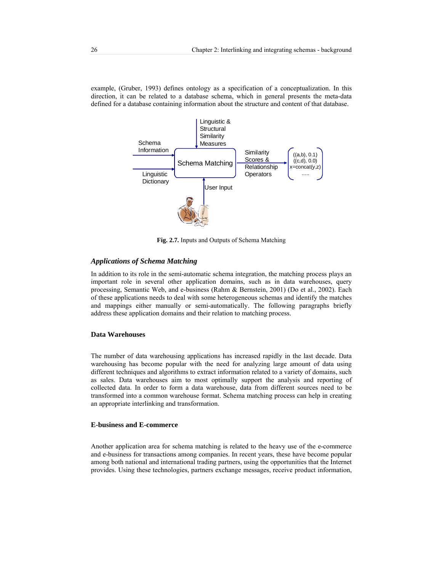example, (Gruber, 1993) defines ontology as a specification of a conceptualization. In this direction, it can be related to a database schema, which in general presents the meta-data defined for a database containing information about the structure and content of that database.



**Fig. 2.7.** Inputs and Outputs of Schema Matching

### *Applications of Schema Matching*

In addition to its role in the semi-automatic schema integration, the matching process plays an important role in several other application domains, such as in data warehouses, query processing, Semantic Web, and e-business (Rahm & Bernstein, 2001) (Do et al., 2002). Each of these applications needs to deal with some heterogeneous schemas and identify the matches and mappings either manually or semi-automatically. The following paragraphs briefly address these application domains and their relation to matching process.

#### **Data Warehouses**

The number of data warehousing applications has increased rapidly in the last decade. Data warehousing has become popular with the need for analyzing large amount of data using different techniques and algorithms to extract information related to a variety of domains, such as sales. Data warehouses aim to most optimally support the analysis and reporting of collected data. In order to form a data warehouse, data from different sources need to be transformed into a common warehouse format. Schema matching process can help in creating an appropriate interlinking and transformation.

#### **E-business and E-commerce**

Another application area for schema matching is related to the heavy use of the e-commerce and e-business for transactions among companies. In recent years, these have become popular among both national and international trading partners, using the opportunities that the Internet provides. Using these technologies, partners exchange messages, receive product information,